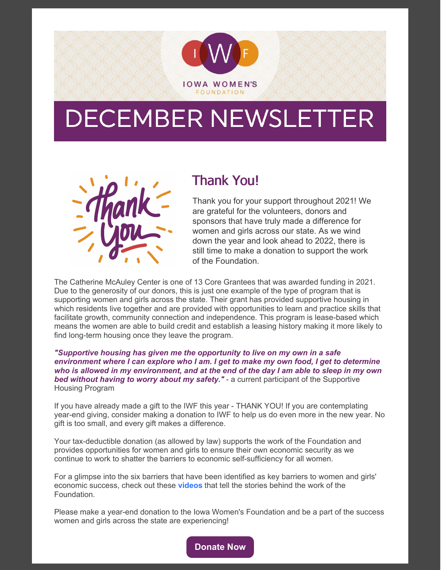

## DECEMBER NEWSLETTER



## Thank You!

Thank you for your support throughout 2021! We are grateful for the volunteers, donors and sponsors that have truly made a difference for women and girls across our state. As we wind down the year and look ahead to 2022, there is still time to make a donation to support the work of the Foundation.

The Catherine McAuley Center is one of 13 Core Grantees that was awarded funding in 2021. Due to the generosity of our donors, this is just one example of the type of program that is supporting women and girls across the state. Their grant has provided supportive housing in which residents live together and are provided with opportunities to learn and practice skills that facilitate growth, community connection and independence. This program is lease-based which means the women are able to build credit and establish a leasing history making it more likely to find long-term housing once they leave the program.

*"Supportive housing has given me the opportunity to live on my own in a safe environment where I can explore who I am. I get to make my own food, I get to determine* who is allowed in my environment, and at the end of the day I am able to sleep in my own *bed without having to worry about my safety."* - a current participant of the Supportive Housing Program

If you have already made a gift to the IWF this year - THANK YOU! If you are contemplating year-end giving, consider making a donation to IWF to help us do even more in the new year. No gift is too small, and every gift makes a difference.

Your tax-deductible donation (as allowed by law) supports the work of the Foundation and provides opportunities for women and girls to ensure their own economic security as we continue to work to shatter the barriers to economic self-sufficiency for all women.

For a glimpse into the six barriers that have been identified as key barriers to women and girls' economic success, check out these **[videos](https://www.youtube.com/channel/UC1cJWUdiy1PAKePHXaK2bCw/featured)** that tell the stories behind the work of the Foundation.

Please make a year-end donation to the Iowa Women's Foundation and be a part of the success women and girls across the state are experiencing!

**[Donate](https://iawf.org/donate-now/) Now**